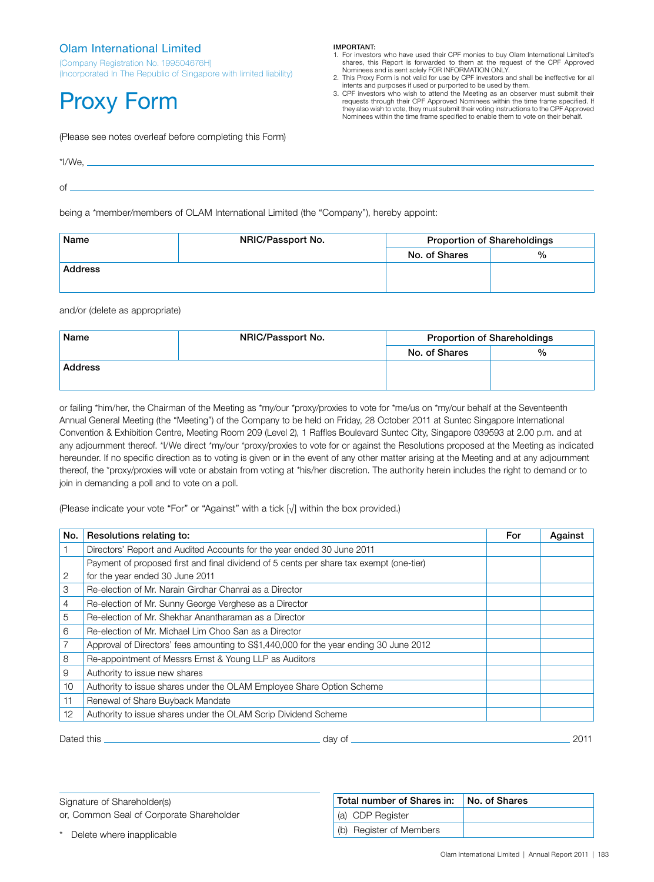## Olam International Limited

(Company Registration No. 199504676H) (Incorporated In The Republic of Singapore with limited liability)

# Proxy Form

## IMPORTANT:

- 1. For investors who have used their CPF monies to buy Olam International Limited's shares, this Report is forwarded to them at the request of the CPF Approved
- Nominees and is sent solely FOR INFORMATION ONLY.<br>2. This Proxy Form is not valid for use by CPF investors and shall be ineffective for all<br>3. This Proxy Form is not valid for purported to be used by them.
- 3. CPF investors who wish to attend the Meeting as an observer must submit their requests through their CPF Approved Nominees within the time frame specified. If they also wish to vote, they must submit their voting instructions to the CPF Approved Nominees within the time frame specified to enable them to vote on their behalf.

(Please see notes overleaf before completing this Form)

| *I/We, |  |  |
|--------|--|--|
|        |  |  |
| Οĺ     |  |  |

being a \*member/members of OLAM International Limited (the "Company"), hereby appoint:

| Name           | NRIC/Passport No. | <b>Proportion of Shareholdings</b> |   |
|----------------|-------------------|------------------------------------|---|
|                |                   | No. of Shares                      | % |
| <b>Address</b> |                   |                                    |   |
|                |                   |                                    |   |

## and/or (delete as appropriate)

| Name           | NRIC/Passport No. |               | <b>Proportion of Shareholdings</b> |  |
|----------------|-------------------|---------------|------------------------------------|--|
|                |                   | No. of Shares | %                                  |  |
| <b>Address</b> |                   |               |                                    |  |
|                |                   |               |                                    |  |

or failing \*him/her, the Chairman of the Meeting as \*my/our \*proxy/proxies to vote for \*me/us on \*my/our behalf at the Seventeenth Annual General Meeting (the "Meeting") of the Company to be held on Friday, 28 October 2011 at Suntec Singapore International Convention & Exhibition Centre, Meeting Room 209 (Level 2), 1 Raffles Boulevard Suntec City, Singapore 039593 at 2.00 p.m. and at any adjournment thereof. \*I/We direct \*my/our \*proxy/proxies to vote for or against the Resolutions proposed at the Meeting as indicated hereunder. If no specific direction as to voting is given or in the event of any other matter arising at the Meeting and at any adjournment thereof, the \*proxy/proxies will vote or abstain from voting at \*his/her discretion. The authority herein includes the right to demand or to join in demanding a poll and to vote on a poll.

(Please indicate your vote "For" or "Against" with a tick [√] within the box provided.)

| No.            | Resolutions relating to:                                                                | For | Against |
|----------------|-----------------------------------------------------------------------------------------|-----|---------|
|                | Directors' Report and Audited Accounts for the year ended 30 June 2011                  |     |         |
|                | Payment of proposed first and final dividend of 5 cents per share tax exempt (one-tier) |     |         |
| $\overline{2}$ | for the year ended 30 June 2011                                                         |     |         |
| 3              | Re-election of Mr. Narain Girdhar Chanrai as a Director                                 |     |         |
| 4              | Re-election of Mr. Sunny George Verghese as a Director                                  |     |         |
| 5              | Re-election of Mr. Shekhar Anantharaman as a Director                                   |     |         |
| 6              | Re-election of Mr. Michael Lim Choo San as a Director                                   |     |         |
|                | Approval of Directors' fees amounting to S\$1,440,000 for the year ending 30 June 2012  |     |         |
| 8              | Re-appointment of Messrs Ernst & Young LLP as Auditors                                  |     |         |
| 9              | Authority to issue new shares                                                           |     |         |
| 10             | Authority to issue shares under the OLAM Employee Share Option Scheme                   |     |         |
| 11             | Renewal of Share Buyback Mandate                                                        |     |         |
| $12 \,$        | Authority to issue shares under the OLAM Scrip Dividend Scheme                          |     |         |

Dated this day of 2011

Signature of Shareholder(s) or, Common Seal of Corporate Shareholder

Delete where inapplicable

| TULAI HUHIDEI OI ƏHATES III. | <b>NO. OF SHARS</b> |
|------------------------------|---------------------|
| (a) CDP Register             |                     |
| (b) Register of Members      |                     |

Total number of Shares in: No. of Shares